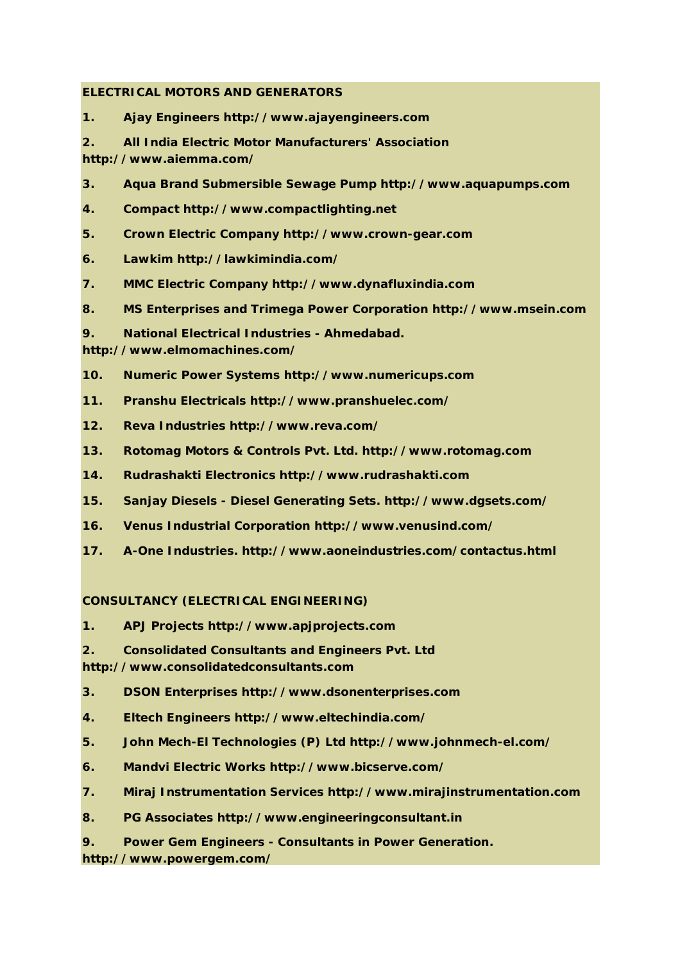## **ELECTRICAL MOTORS AND GENERATORS**

- **1. Ajay Engineers http://www.ajayengineers.com**
- **2. All India Electric Motor Manufacturers' Association http://www.aiemma.com/**
- **3. Aqua Brand Submersible Sewage Pump http://www.aquapumps.com**
- **4. Compact http://www.compactlighting.net**
- **5. Crown Electric Company http://www.crown-gear.com**
- **6. Lawkim http://lawkimindia.com/**
- **7. MMC Electric Company http://www.dynafluxindia.com**
- **8. MS Enterprises and Trimega Power Corporation http://www.msein.com**
- **9. National Electrical Industries - Ahmedabad.**

**http://www.elmomachines.com/**

- **10. Numeric Power Systems http://www.numericups.com**
- **11. Pranshu Electricals http://www.pranshuelec.com/**
- **12. Reva Industries http://www.reva.com/**
- **13. Rotomag Motors & Controls Pvt. Ltd. http://www.rotomag.com**
- **14. Rudrashakti Electronics http://www.rudrashakti.com**
- **15. Sanjay Diesels - Diesel Generating Sets. http://www.dgsets.com/**
- **16. Venus Industrial Corporation http://www.venusind.com/**
- **17. A-One Industries. http://www.aoneindustries.com/contactus.html**

### **CONSULTANCY (ELECTRICAL ENGINEERING)**

- **1. APJ Projects http://www.apjprojects.com**
- **2. Consolidated Consultants and Engineers Pvt. Ltd**

**http://www.consolidatedconsultants.com**

- **3. DSON Enterprises http://www.dsonenterprises.com**
- **4. Eltech Engineers http://www.eltechindia.com/**
- **5. John Mech-El Technologies (P) Ltd http://www.johnmech-el.com/**
- **6. Mandvi Electric Works http://www.bicserve.com/**
- **7. Miraj Instrumentation Services http://www.mirajinstrumentation.com**
- **8. PG Associates http://www.engineeringconsultant.in**
- **9. Power Gem Engineers - Consultants in Power Generation.**

**http://www.powergem.com/**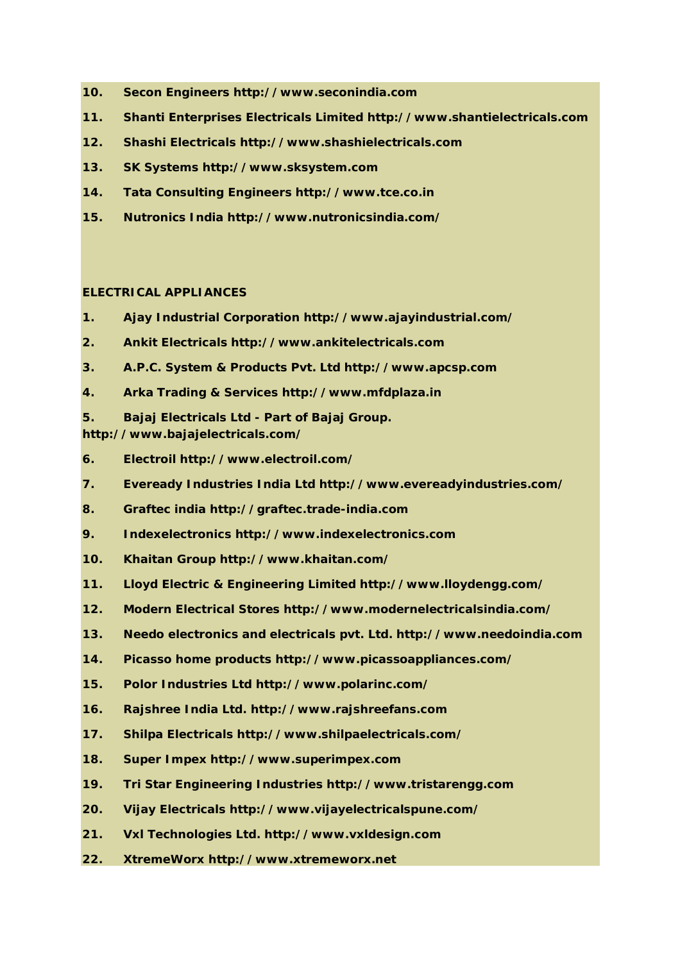- **10. Secon Engineers http://www.seconindia.com**
- **11. Shanti Enterprises Electricals Limited http://www.shantielectricals.com**
- **12. Shashi Electricals http://www.shashielectricals.com**
- **13. SK Systems http://www.sksystem.com**
- **14. Tata Consulting Engineers http://www.tce.co.in**
- **15. Nutronics India http://www.nutronicsindia.com/**

# **ELECTRICAL APPLIANCES**

- **1. Ajay Industrial Corporation http://www.ajayindustrial.com/**
- **2. Ankit Electricals http://www.ankitelectricals.com**
- **3. A.P.C. System & Products Pvt. Ltd http://www.apcsp.com**
- **4. Arka Trading & Services http://www.mfdplaza.in**
- **5. Bajaj Electricals Ltd - Part of Bajaj Group.**
- **http://www.bajajelectricals.com/**
- **6. Electroil http://www.electroil.com/**
- **7. Eveready Industries India Ltd http://www.evereadyindustries.com/**
- **8. Graftec india http://graftec.trade-india.com**
- **9. Indexelectronics http://www.indexelectronics.com**
- **10. Khaitan Group http://www.khaitan.com/**
- **11. Lloyd Electric & Engineering Limited http://www.lloydengg.com/**
- **12. Modern Electrical Stores http://www.modernelectricalsindia.com/**
- **13. Needo electronics and electricals pvt. Ltd. http://www.needoindia.com**
- **14. Picasso home products http://www.picassoappliances.com/**
- **15. Polor Industries Ltd http://www.polarinc.com/**
- **16. Rajshree India Ltd. http://www.rajshreefans.com**
- **17. Shilpa Electricals http://www.shilpaelectricals.com/**
- **18. Super Impex http://www.superimpex.com**
- **19. Tri Star Engineering Industries http://www.tristarengg.com**
- **20. Vijay Electricals http://www.vijayelectricalspune.com/**
- **21. Vxl Technologies Ltd. http://www.vxldesign.com**
- **22. XtremeWorx http://www.xtremeworx.net**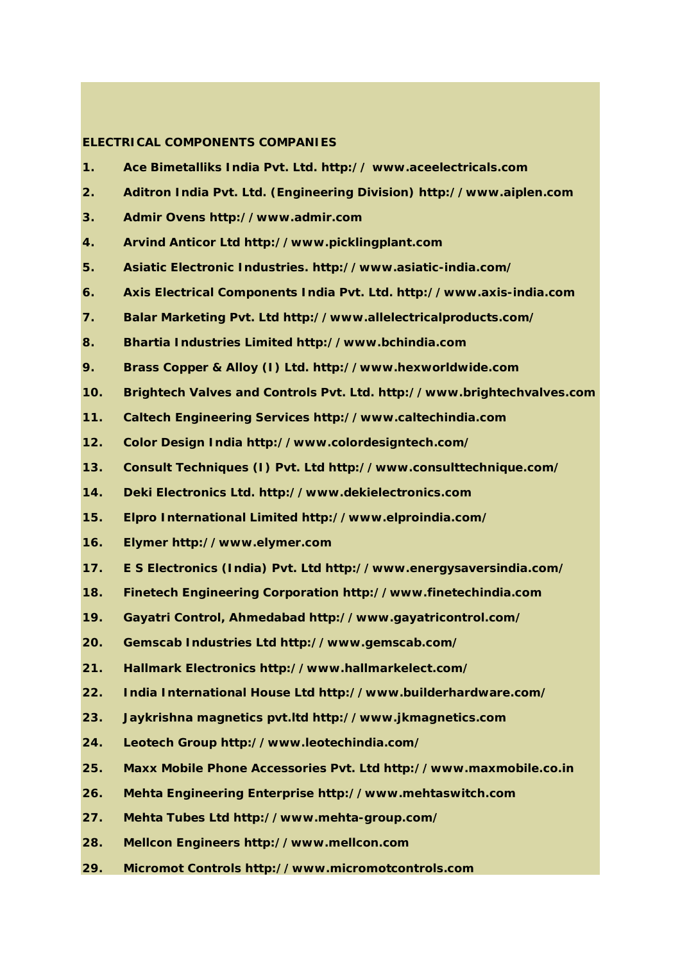### **ELECTRICAL COMPONENTS COMPANIES**

- **1. Ace Bimetalliks India Pvt. Ltd. http:// www.aceelectricals.com**
- **2. Aditron India Pvt. Ltd. (Engineering Division) http://www.aiplen.com**
- **3. Admir Ovens http://www.admir.com**
- **4. Arvind Anticor Ltd http://www.picklingplant.com**
- **5. Asiatic Electronic Industries. http://www.asiatic-india.com/**
- **6. Axis Electrical Components India Pvt. Ltd. http://www.axis-india.com**
- **7. Balar Marketing Pvt. Ltd http://www.allelectricalproducts.com/**
- **8. Bhartia Industries Limited http://www.bchindia.com**
- **9. Brass Copper & Alloy (I) Ltd. http://www.hexworldwide.com**
- **10. Brightech Valves and Controls Pvt. Ltd. http://www.brightechvalves.com**
- **11. Caltech Engineering Services http://www.caltechindia.com**
- **12. Color Design India http://www.colordesigntech.com/**
- **13. Consult Techniques (I) Pvt. Ltd http://www.consulttechnique.com/**
- **14. Deki Electronics Ltd. http://www.dekielectronics.com**
- **15. Elpro International Limited http://www.elproindia.com/**
- **16. Elymer http://www.elymer.com**
- **17. E S Electronics (India) Pvt. Ltd http://www.energysaversindia.com/**
- **18. Finetech Engineering Corporation http://www.finetechindia.com**
- **19. Gayatri Control, Ahmedabad http://www.gayatricontrol.com/**
- **20. Gemscab Industries Ltd http://www.gemscab.com/**
- **21. Hallmark Electronics http://www.hallmarkelect.com/**
- **22. India International House Ltd http://www.builderhardware.com/**
- **23. Jaykrishna magnetics pvt.ltd http://www.jkmagnetics.com**
- **24. Leotech Group http://www.leotechindia.com/**
- **25. Maxx Mobile Phone Accessories Pvt. Ltd http://www.maxmobile.co.in**
- **26. Mehta Engineering Enterprise http://www.mehtaswitch.com**
- **27. Mehta Tubes Ltd http://www.mehta-group.com/**
- **28. Mellcon Engineers http://www.mellcon.com**
- **29. Micromot Controls http://www.micromotcontrols.com**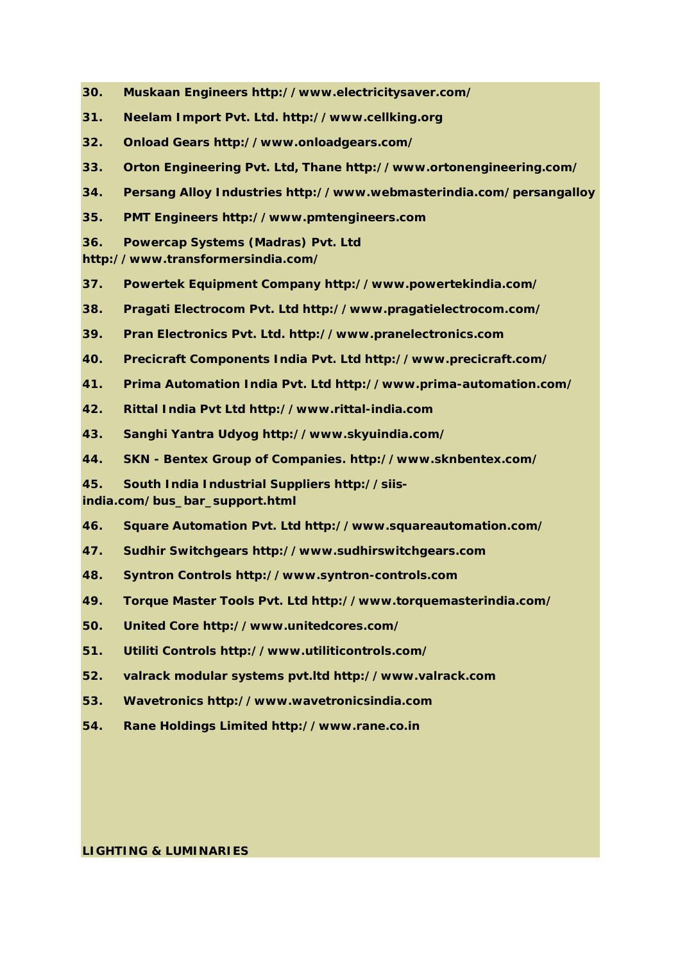- **30. Muskaan Engineers http://www.electricitysaver.com/**
- **31. Neelam Import Pvt. Ltd. http://www.cellking.org**
- **32. Onload Gears http://www.onloadgears.com/**
- **33. Orton Engineering Pvt. Ltd, Thane http://www.ortonengineering.com/**
- **34. Persang Alloy Industries http://www.webmasterindia.com/persangalloy**
- **35. PMT Engineers http://www.pmtengineers.com**
- **36. Powercap Systems (Madras) Pvt. Ltd**

**http://www.transformersindia.com/**

- **37. Powertek Equipment Company http://www.powertekindia.com/**
- **38. Pragati Electrocom Pvt. Ltd http://www.pragatielectrocom.com/**
- **39. Pran Electronics Pvt. Ltd. http://www.pranelectronics.com**
- **40. Precicraft Components India Pvt. Ltd http://www.precicraft.com/**
- **41. Prima Automation India Pvt. Ltd http://www.prima-automation.com/**
- **42. Rittal India Pvt Ltd http://www.rittal-india.com**
- **43. Sanghi Yantra Udyog http://www.skyuindia.com/**
- **44. SKN - Bentex Group of Companies. http://www.sknbentex.com/**
- **45. South India Industrial Suppliers http://siis-**

**india.com/bus\_bar\_support.html**

- **46. Square Automation Pvt. Ltd http://www.squareautomation.com/**
- **47. Sudhir Switchgears http://www.sudhirswitchgears.com**
- **48. Syntron Controls http://www.syntron-controls.com**
- **49. Torque Master Tools Pvt. Ltd http://www.torquemasterindia.com/**
- **50. United Core http://www.unitedcores.com/**
- **51. Utiliti Controls http://www.utiliticontrols.com/**
- **52. valrack modular systems pvt.ltd http://www.valrack.com**
- **53. Wavetronics http://www.wavetronicsindia.com**
- **54. Rane Holdings Limited http://www.rane.co.in**

**LIGHTING & LUMINARIES**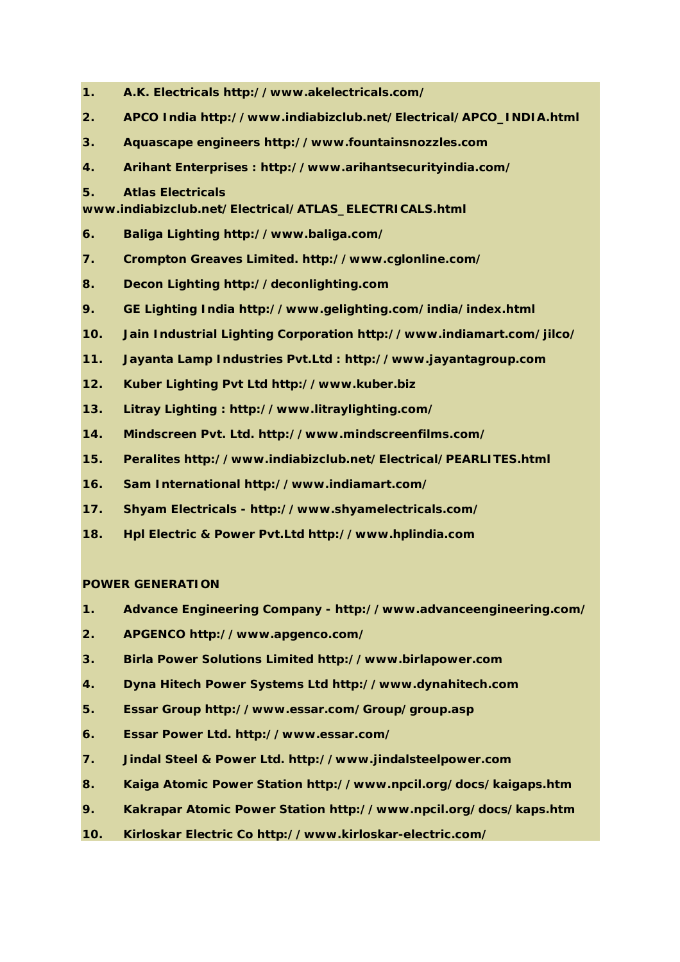- **1. A.K. Electricals http://www.akelectricals.com/**
- **2. APCO India http://www.indiabizclub.net/Electrical/APCO\_INDIA.html**
- **3. Aquascape engineers http://www.fountainsnozzles.com**
- **4. Arihant Enterprises : http://www.arihantsecurityindia.com/**
- **5. Atlas Electricals**

**www.indiabizclub.net/Electrical/ATLAS\_ELECTRICALS.html**

- **6. Baliga Lighting http://www.baliga.com/**
- **7. Crompton Greaves Limited. http://www.cglonline.com/**
- **8. Decon Lighting http://deconlighting.com**
- **9. GE Lighting India http://www.gelighting.com/india/index.html**
- **10. Jain Industrial Lighting Corporation http://www.indiamart.com/jilco/**
- **11. Jayanta Lamp Industries Pvt.Ltd : http://www.jayantagroup.com**
- **12. Kuber Lighting Pvt Ltd http://www.kuber.biz**
- **13. Litray Lighting : http://www.litraylighting.com/**
- **14. Mindscreen Pvt. Ltd. http://www.mindscreenfilms.com/**
- **15. Peralites http://www.indiabizclub.net/Electrical/PEARLITES.html**
- **16. Sam International http://www.indiamart.com/**
- **17. Shyam Electricals - http://www.shyamelectricals.com/**
- **18. Hpl Electric & Power Pvt.Ltd http://www.hplindia.com**

### **POWER GENERATION**

- **1. Advance Engineering Company - http://www.advanceengineering.com/**
- **2. APGENCO http://www.apgenco.com/**
- **3. Birla Power Solutions Limited http://www.birlapower.com**
- **4. Dyna Hitech Power Systems Ltd http://www.dynahitech.com**
- **5. Essar Group http://www.essar.com/Group/group.asp**
- **6. Essar Power Ltd. http://www.essar.com/**
- **7. Jindal Steel & Power Ltd. http://www.jindalsteelpower.com**
- **8. Kaiga Atomic Power Station http://www.npcil.org/docs/kaigaps.htm**
- **9. Kakrapar Atomic Power Station http://www.npcil.org/docs/kaps.htm**
- **10. Kirloskar Electric Co http://www.kirloskar-electric.com/**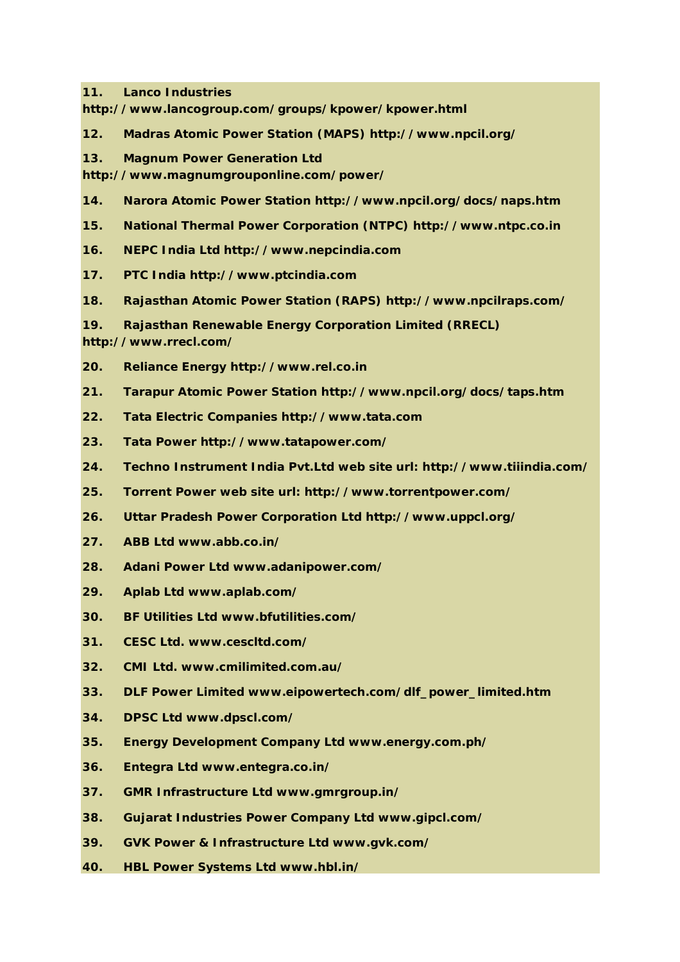**11. Lanco Industries** 

**http://www.lancogroup.com/groups/kpower/kpower.html**

- **12. Madras Atomic Power Station (MAPS) http://www.npcil.org/**
- **13. Magnum Power Generation Ltd**

**http://www.magnumgrouponline.com/power/**

- **14. Narora Atomic Power Station http://www.npcil.org/docs/naps.htm**
- **15. National Thermal Power Corporation (NTPC) http://www.ntpc.co.in**
- **16. NEPC India Ltd http://www.nepcindia.com**
- **17. PTC India http://www.ptcindia.com**
- **18. Rajasthan Atomic Power Station (RAPS) http://www.npcilraps.com/**
- **19. Rajasthan Renewable Energy Corporation Limited (RRECL)**

**http://www.rrecl.com/**

- **20. Reliance Energy http://www.rel.co.in**
- **21. Tarapur Atomic Power Station http://www.npcil.org/docs/taps.htm**
- **22. Tata Electric Companies http://www.tata.com**
- **23. Tata Power http://www.tatapower.com/**
- **24. Techno Instrument India Pvt.Ltd web site url: http://www.tiiindia.com/**
- **25. Torrent Power web site url: http://www.torrentpower.com/**
- **26. Uttar Pradesh Power Corporation Ltd http://www.uppcl.org/**
- **27. ABB Ltd www.abb.co.in/**
- **28. Adani Power Ltd www.adanipower.com/**
- **29. Aplab Ltd www.aplab.com/**
- **30. BF Utilities Ltd www.bfutilities.com/**
- **31. CESC Ltd. www.cescltd.com/**
- **32. CMI Ltd. www.cmilimited.com.au/**
- **33. DLF Power Limited www.eipowertech.com/dlf\_power\_limited.htm**
- **34. DPSC Ltd www.dpscl.com/**
- **35. Energy Development Company Ltd www.energy.com.ph/**
- **36. Entegra Ltd www.entegra.co.in/**
- **37. GMR Infrastructure Ltd www.gmrgroup.in/**
- **38. Gujarat Industries Power Company Ltd www.gipcl.com/**
- **39. GVK Power & Infrastructure Ltd www.gvk.com/**
- **40. HBL Power Systems Ltd www.hbl.in/**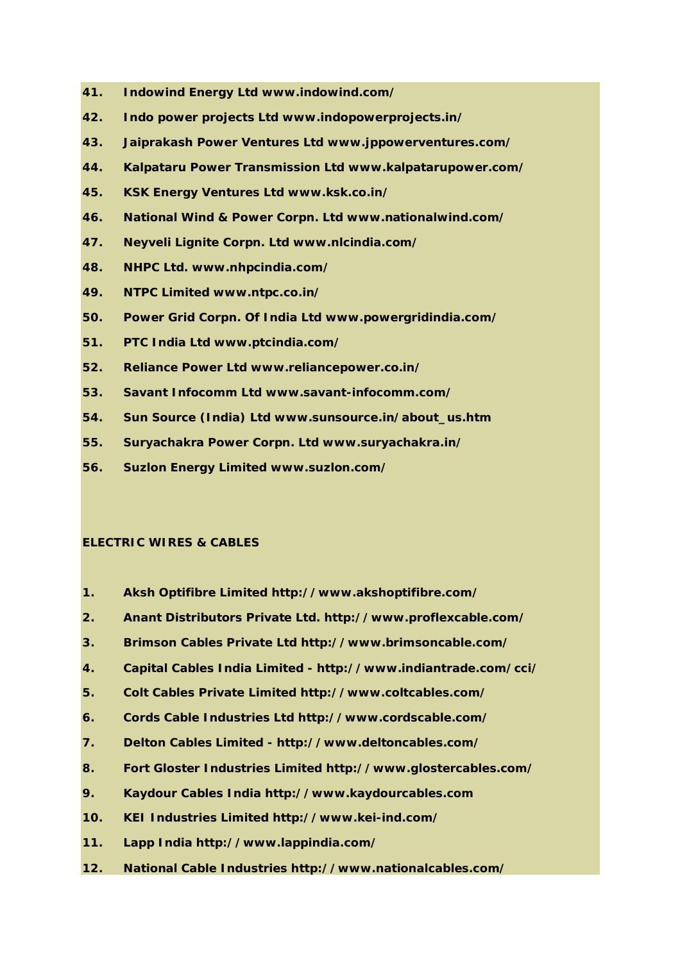- **41. Indowind Energy Ltd www.indowind.com/**
- **42. Indo power projects Ltd www.indopowerprojects.in/**
- **43. Jaiprakash Power Ventures Ltd www.jppowerventures.com/**
- **44. Kalpataru Power Transmission Ltd www.kalpatarupower.com/**
- **45. KSK Energy Ventures Ltd www.ksk.co.in/**
- **46. National Wind & Power Corpn. Ltd www.nationalwind.com/**
- **47. Neyveli Lignite Corpn. Ltd www.nlcindia.com/**
- **48. NHPC Ltd. www.nhpcindia.com/**
- **49. NTPC Limited www.ntpc.co.in/**
- **50. Power Grid Corpn. Of India Ltd www.powergridindia.com/**
- **51. PTC India Ltd www.ptcindia.com/**
- **52. Reliance Power Ltd www.reliancepower.co.in/**
- **53. Savant Infocomm Ltd www.savant-infocomm.com/**
- **54. Sun Source (India) Ltd www.sunsource.in/about\_us.htm**
- **55. Suryachakra Power Corpn. Ltd www.suryachakra.in/**
- **56. Suzlon Energy Limited www.suzlon.com/**

#### **ELECTRIC WIRES & CABLES**

- **1. Aksh Optifibre Limited http://www.akshoptifibre.com/**
- **2. Anant Distributors Private Ltd. http://www.proflexcable.com/**
- **3. Brimson Cables Private Ltd http://www.brimsoncable.com/**
- **4. Capital Cables India Limited - http://www.indiantrade.com/cci/**
- **5. Colt Cables Private Limited http://www.coltcables.com/**
- **6. Cords Cable Industries Ltd http://www.cordscable.com/**
- **7. Delton Cables Limited - http://www.deltoncables.com/**
- **8. Fort Gloster Industries Limited http://www.glostercables.com/**
- **9. Kaydour Cables India http://www.kaydourcables.com**
- **10. KEI Industries Limited http://www.kei-ind.com/**
- **11. Lapp India http://www.lappindia.com/**
- **12. National Cable Industries http://www.nationalcables.com/**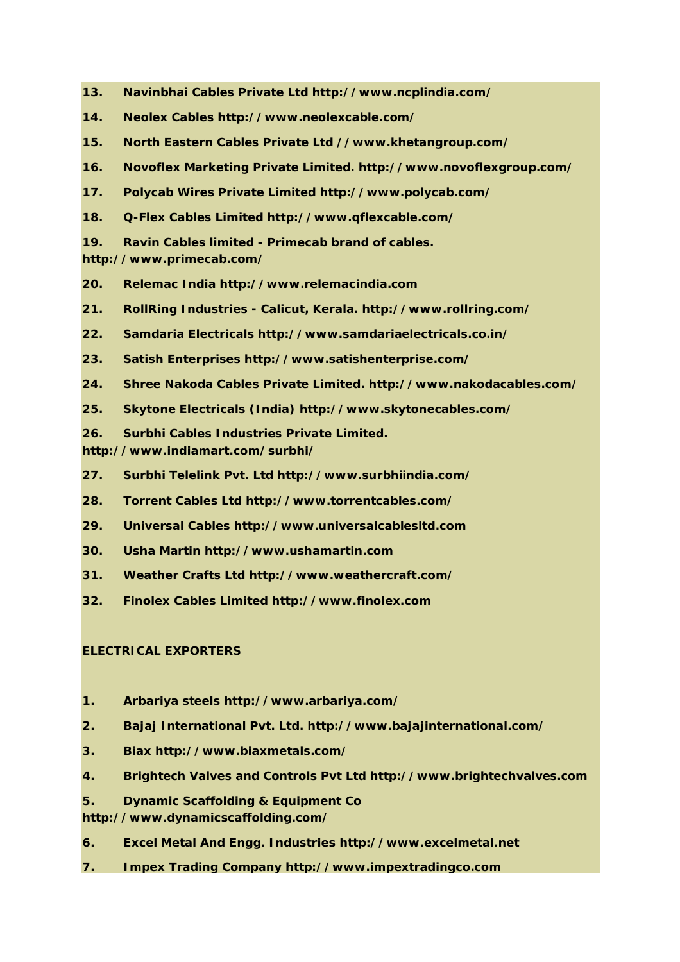- **13. Navinbhai Cables Private Ltd http://www.ncplindia.com/**
- **14. Neolex Cables http://www.neolexcable.com/**
- **15. North Eastern Cables Private Ltd //www.khetangroup.com/**
- **16. Novoflex Marketing Private Limited. http://www.novoflexgroup.com/**
- **17. Polycab Wires Private Limited http://www.polycab.com/**
- **18. Q-Flex Cables Limited http://www.qflexcable.com/**
- **19. Ravin Cables limited - Primecab brand of cables.**

**http://www.primecab.com/**

- **20. Relemac India http://www.relemacindia.com**
- **21. RollRing Industries - Calicut, Kerala. http://www.rollring.com/**
- **22. Samdaria Electricals http://www.samdariaelectricals.co.in/**
- **23. Satish Enterprises http://www.satishenterprise.com/**
- **24. Shree Nakoda Cables Private Limited. http://www.nakodacables.com/**
- **25. Skytone Electricals (India) http://www.skytonecables.com/**
- **26. Surbhi Cables Industries Private Limited.**
- **http://www.indiamart.com/surbhi/**
- **27. Surbhi Telelink Pvt. Ltd http://www.surbhiindia.com/**
- **28. Torrent Cables Ltd http://www.torrentcables.com/**
- **29. Universal Cables http://www.universalcablesltd.com**
- **30. Usha Martin http://www.ushamartin.com**
- **31. Weather Crafts Ltd http://www.weathercraft.com/**
- **32. Finolex Cables Limited http://www.finolex.com**

# **ELECTRICAL EXPORTERS**

- **1. Arbariya steels http://www.arbariya.com/**
- **2. Bajaj International Pvt. Ltd. http://www.bajajinternational.com/**
- **3. Biax http://www.biaxmetals.com/**
- **4. Brightech Valves and Controls Pvt Ltd http://www.brightechvalves.com**
- **5. Dynamic Scaffolding & Equipment Co**
- **http://www.dynamicscaffolding.com/**
- **6. Excel Metal And Engg. Industries http://www.excelmetal.net**
- **7. Impex Trading Company http://www.impextradingco.com**